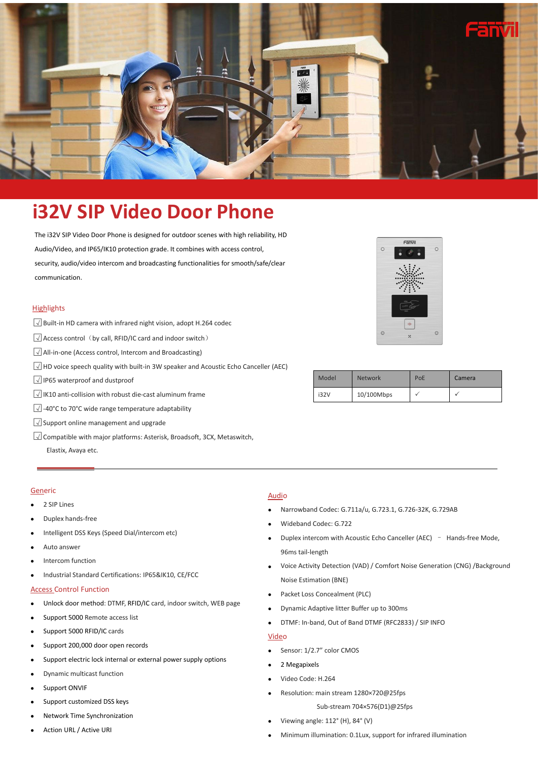

# **i32V SIP Video Door Phone**

The i32V SIP Video Door Phone is designed for outdoor scenes with high reliability, HD Audio/Video, and IP65/IK10 protection grade. It combines with access control, security, audio/video intercom and broadcasting functionalities for smooth/safe/clear communication.

#### **Highlights**

- □<sup>√</sup> Built-in HD camera with infrared night vision, adopt H.264 codec
- □<sup>√</sup> Access control(by call, RFID/IC card and indoor switch)
- □<sup>√</sup> All-in-one (Access control, Intercom and Broadcasting)
- □<sup>√</sup> HD voicespeech quality with built-in 3W speaker and Acoustic Echo Canceller (AEC)
- □<sup>√</sup> IP65 waterproof and dustproof
- □<sup>√</sup> IK10 anti-collision with robust die-cast aluminum frame
- □<sup>√</sup> -40°C to 70°C wide range temperature adaptability
- □<sup>√</sup> Support online management and upgrade
- □<sup>√</sup> Compatible with major platforms:Asterisk, Broadsoft, 3CX, Metaswitch,

Elastix, Avaya etc.

#### **Generic**

- 2 SIP Lines
- Duplex hands-free
- Intelligent DSS Keys (Speed Dial/intercom etc)
- Auto answer
- Intercom function
- Industrial Standard Certifications: IP65&IK10, CE/FCC

#### Access Control Function

- Unlock door method: DTMF, RFID/IC card, indoor switch, WEB page
- Support 5000 Remote access list
- Support 5000 RFID/IC cards
- Support 200,000 door open records
- Support electric lock internal or external power supply options
- Dynamic multicast function
- Support ONVIF
- Support customized DSS keys
- Network Time Synchronization
- Action URL / Active URI

#### **Audio**

- Narrowband Codec: G.711a/u, G.723.1, G.726-32K, G.729AB
- Wideband Codec: G.722
- Duplex intercom with Acoustic Echo Canceller (AEC) Hands-free Mode, 96ms tail-length
- Voice Activity Detection (VAD) / Comfort Noise Generation (CNG) /Background Noise Estimation (BNE)
- Packet Loss Concealment (PLC)
- Dynamic Adaptive litter Buffer up to 300ms
- DTMF: In-band, Out of Band DTMF (RFC2833) / SIP INFO

#### Video

- Sensor: 1/2.7" color CMOS
- 2 Megapixels
- Video Code: H.264
- Resolution: main stream 1280×720@25fps

Sub-stream 704×576(D1)@25fps

- Viewing angle: 112° (H), 84° (V)
- Minimum illumination: 0.1Lux, support for infrared illumination



| 10/100Mbps<br>i32V |
|--------------------|